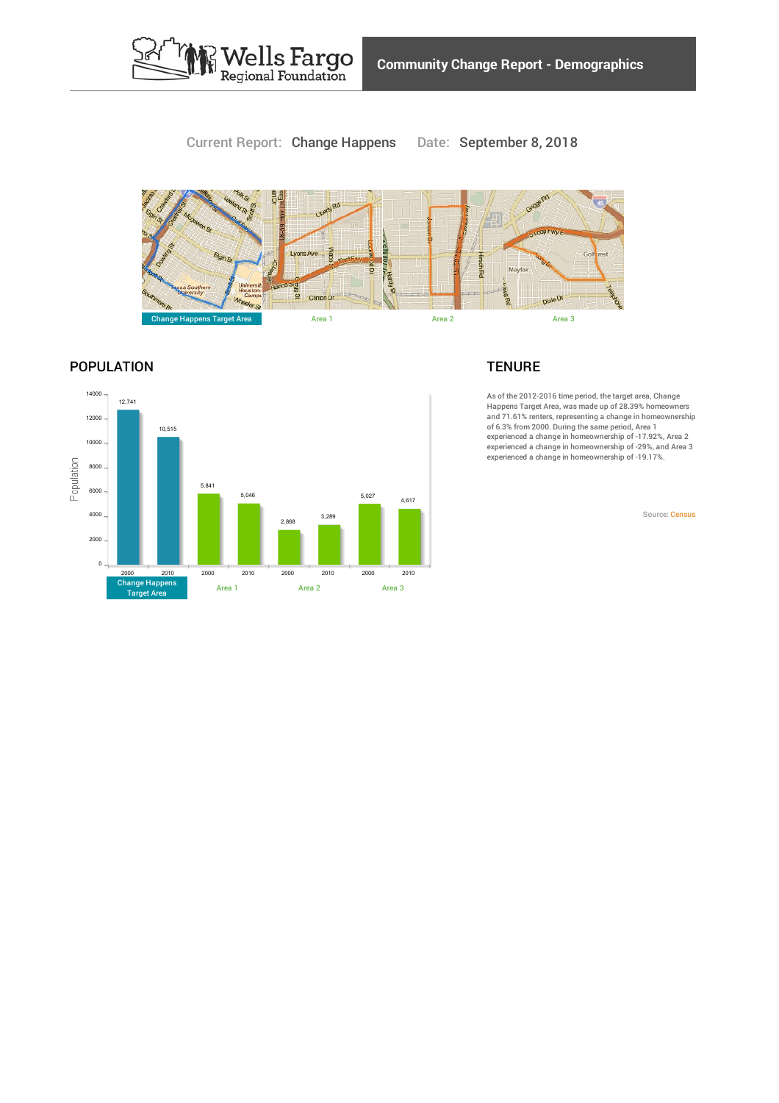

# Current Report: Change Happens Date: September 8, 2018



# POPULATION



### **TENURE**

As of the 2012-2016 time period, the target area, Change Happens Target Area, was made up of 28.39% homeowners and 71.61% renters, representing a change in homeownership of 6.3% from 2000. During the same period, Area 1 experienced a change in homeownership of -17.92%, Area 2 experienced a change in homeownership of -29%, and Area 3 experienced a change in homeownership of -19.17%.

Source: [Census](https://www.policymap.com/our-data-directory.html#Census: Decennial Census and American Community Survey (ACS))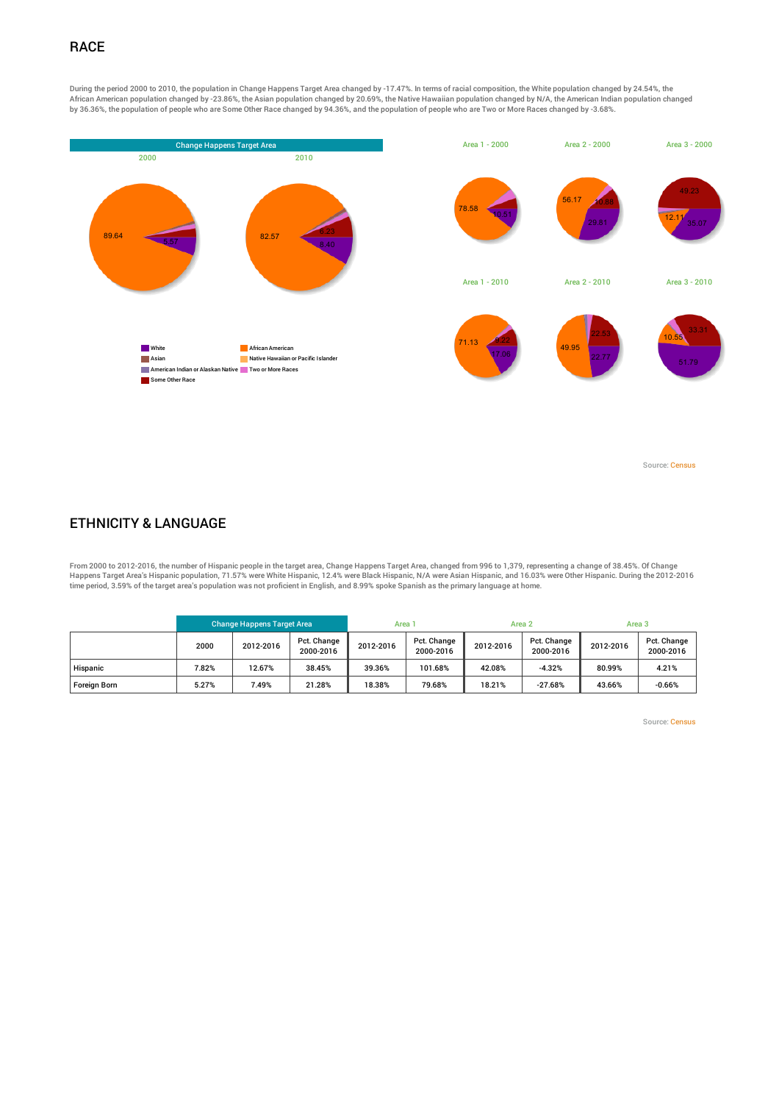# **RACE**

During the period 2000 to 2010, the population in Change Happens Target Area changed by -17.47%. In terms of racial composition, the White population changed by 24.54%, the African American population changed by -23.86%, the Asian population changed by 20.69%, the Native Hawaiian population changed by N/A, the American Indian population changed by 36.36%, the population of people who are Some Other Race changed by 94.36%, and the population of people who are Two or More Races changed by -3.68%.



Source: [Census](https://www.policymap.com/our-data-directory.html#Census: Decennial Census and American Community Survey (ACS))

#### ETHNICITY & LANGUAGE

From 2000 to 2012-2016, the number of Hispanic people in the target area, Change Happens Target Area, changed from 996 to 1,379, representing a change of 38.45%. Of Change<br>Happens Target Area's Hispanic population was not

|                     | <b>Change Happens Target Area</b> |           |                          | Area 1    |                          | Area 2    |                          | Area 3    |                          |
|---------------------|-----------------------------------|-----------|--------------------------|-----------|--------------------------|-----------|--------------------------|-----------|--------------------------|
|                     | 2000                              | 2012-2016 | Pct. Change<br>2000-2016 | 2012-2016 | Pct. Change<br>2000-2016 | 2012-2016 | Pct. Change<br>2000-2016 | 2012-2016 | Pct. Change<br>2000-2016 |
| Hispanic            | 7.82%                             | 12.67%    | 38.45%                   | 39.36%    | 101.68%                  | 42.08%    | $-4.32%$                 | 80.99%    | 4.21%                    |
| <b>Foreian Born</b> | 5.27%                             | 7.49%     | 21.28%                   | 18.38%    | 79.68%                   | 18.21%    | $-27.68%$                | 43.66%    | $-0.66%$                 |

Source: [Census](https://www.policymap.com/our-data-directory.html#Census: Decennial Census and American Community Survey (ACS))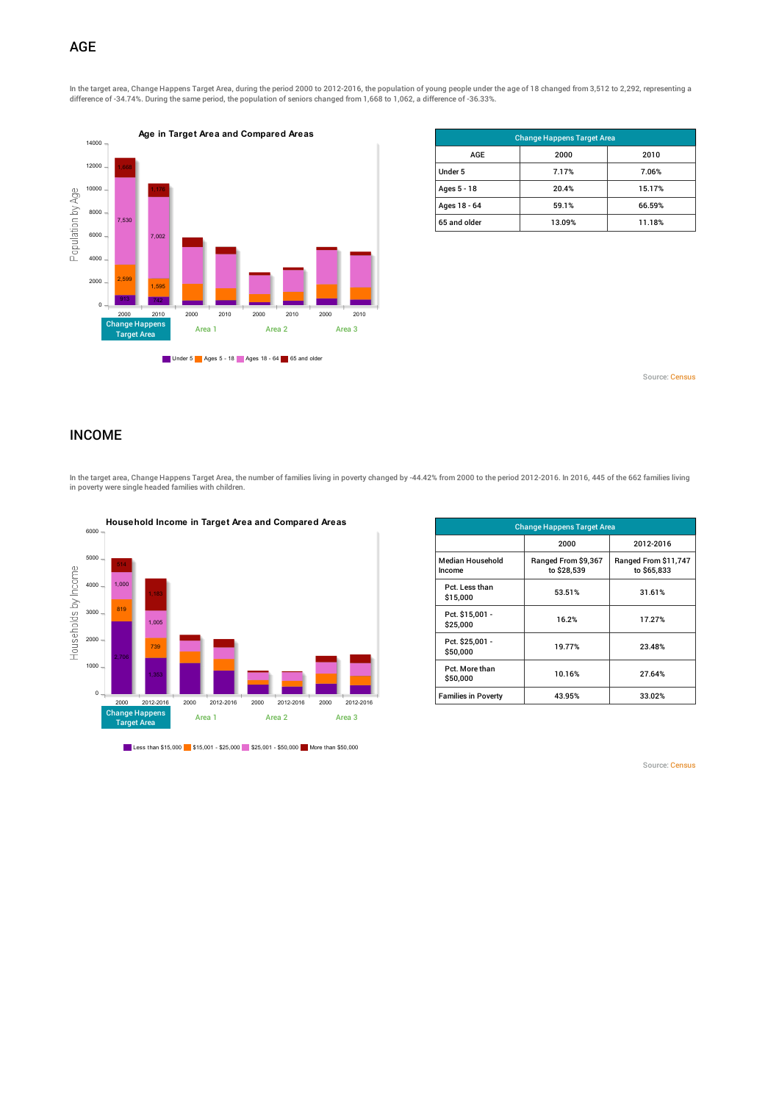# AGE

In the target area, Change Happens Target Area, during the period 2000 to 2012-2016, the population of young people under the age of 18 changed from 3,512 to 2,292, representing a difference of -34.74%. During the same period, the population of seniors changed from 1,668 to 1,062, a difference of -36.33%.



| <b>Change Happens Target Area</b> |        |        |  |  |  |  |
|-----------------------------------|--------|--------|--|--|--|--|
| AGE                               | 2000   | 2010   |  |  |  |  |
| Under 5                           | 7.17%  | 7.06%  |  |  |  |  |
| Ages 5 - 18                       | 20.4%  | 15.17% |  |  |  |  |
| Ages 18 - 64                      | 59.1%  | 66.59% |  |  |  |  |
| 65 and older                      | 13.09% | 11.18% |  |  |  |  |

Source: [Census](https://www.policymap.com/our-data-directory.html#Census: Decennial Census and American Community Survey (ACS))

#### INCOME

In the target area, Change Happens Target Area, the number of families living in poverty changed by -44.42% from 2000 to the period 2012-2016. In 2016, 445 of the 662 families living in poverty were single headed families with children.



Less than \$15,000 \$15,001 - \$25,000 \$25,001 - \$50,000 More than \$50,000

| <b>Change Happens Target Area</b> |                                    |                                     |  |  |  |  |  |
|-----------------------------------|------------------------------------|-------------------------------------|--|--|--|--|--|
|                                   | 2000                               | 2012-2016                           |  |  |  |  |  |
| <b>Median Household</b><br>Income | Ranged From \$9,367<br>to \$28,539 | Ranged From \$11,747<br>to \$65,833 |  |  |  |  |  |
| Pct. Less than<br>\$15,000        | 53.51%                             | 31.61%                              |  |  |  |  |  |
| Pct. \$15,001 -<br>\$25,000       | 16.2%                              | 17.27%                              |  |  |  |  |  |
| Pct. \$25,001 -<br>\$50,000       | 19.77%                             | 23.48%                              |  |  |  |  |  |
| Pct. More than<br>\$50,000        | 10.16%                             | 27.64%                              |  |  |  |  |  |
| <b>Families in Poverty</b>        | 43.95%                             | 33.02%                              |  |  |  |  |  |

Source: [Census](https://www.policymap.com/our-data-directory.html#Census: Decennial Census and American Community Survey (ACS))